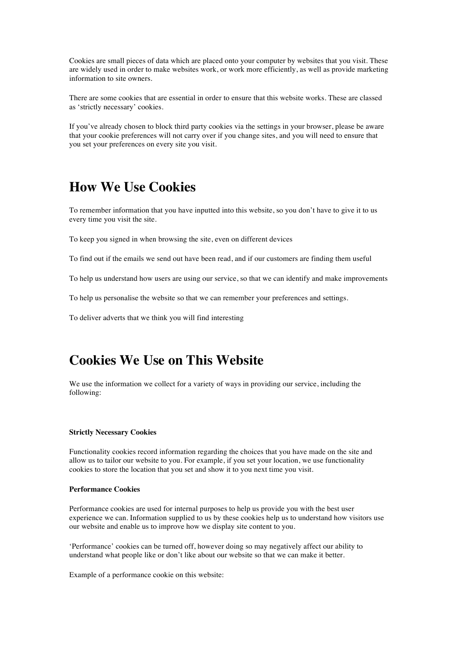Cookies are small pieces of data which are placed onto your computer by websites that you visit. These are widely used in order to make websites work, or work more efficiently, as well as provide marketing information to site owners.

There are some cookies that are essential in order to ensure that this website works. These are classed as 'strictly necessary' cookies.

If you've already chosen to block third party cookies via the settings in your browser, please be aware that your cookie preferences will not carry over if you change sites, and you will need to ensure that you set your preferences on every site you visit.

# **How We Use Cookies**

To remember information that you have inputted into this website, so you don't have to give it to us every time you visit the site.

To keep you signed in when browsing the site, even on different devices

To find out if the emails we send out have been read, and if our customers are finding them useful

To help us understand how users are using our service, so that we can identify and make improvements

To help us personalise the website so that we can remember your preferences and settings.

To deliver adverts that we think you will find interesting

# **Cookies We Use on This Website**

We use the information we collect for a variety of ways in providing our service, including the following:

#### **Strictly Necessary Cookies**

Functionality cookies record information regarding the choices that you have made on the site and allow us to tailor our website to you. For example, if you set your location, we use functionality cookies to store the location that you set and show it to you next time you visit.

### **Performance Cookies**

Performance cookies are used for internal purposes to help us provide you with the best user experience we can. Information supplied to us by these cookies help us to understand how visitors use our website and enable us to improve how we display site content to you.

'Performance' cookies can be turned off, however doing so may negatively affect our ability to understand what people like or don't like about our website so that we can make it better.

Example of a performance cookie on this website: